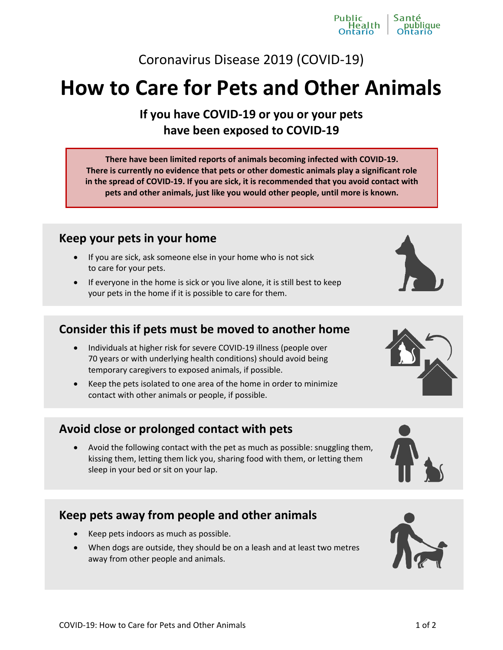# Coronavirus Disease 2019 (COVID-19)

# **How to Care for Pets and Other Animals**

**If you have COVID-19 or you or your pets have been exposed to COVID-19**

**There have been limited reports of animals becoming infected with COVID-19. There is currently no evidence that pets or other domestic animals play a significant role in the spread of COVID-19. If you are sick, it is recommended that you avoid contact with pets and other animals, just like you would other people, until more is known.** 

#### **Keep your pets in your home**

- If you are sick, ask someone else in your home who is not sick to care for your pets.
- If everyone in the home is sick or you live alone, it is still best to keep your pets in the home if it is possible to care for them.

## **Consider this if pets must be moved to another home**

- Individuals at higher risk for severe COVID-19 illness (people over 70 years or with underlying health conditions) should avoid being temporary caregivers to exposed animals, if possible.
- Keep the pets isolated to one area of the home in order to minimize contact with other animals or people, if possible.

#### **Avoid close or prolonged contact with pets**

 Avoid the following contact with the pet as much as possible: snuggling them, kissing them, letting them lick you, sharing food with them, or letting them sleep in your bed or sit on your lap.

### **Keep pets away from people and other animals**

- Keep pets indoors as much as possible.
- When dogs are outside, they should be on a leash and at least two metres away from other people and animals.